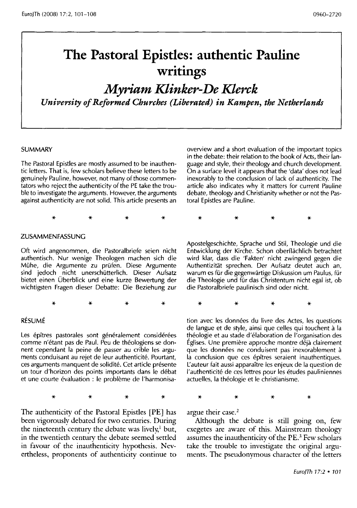# **The Pastoral Epistles: authentic Pauline writings**

*Myriam Klinker-De Klerck University of Reformed Churches (Liberated) in Kampen, the Netherlands* 

#### SUMMARY

The Pastoral Epistles are mostly assumed to be inauthentic letters. That is, few scholars believe these letters to be genuinely Pauline, however, not many of those commentators who reject the authenticity of the PE take the trouble to investigate the arguments. However, the arguments against authenticity are not solid. This article presents an

overview and a short evaluation of the important topics in the debate: their relation to the book of Acts, their language and style, their theology and church development. On a surface level it appears that the 'data' does not lead inexorably to the conclusion of lack of authenticity. The article also indicates why it matters for current Pauline debate, theology and Christianity whether or not the Pastoral Epistles are Pauline.

\* \* \* \*

#### ZUSAMMENFASSUNG

Oft wird angenommen, die Pastoralbriefe seien nicht authentisch. Nur wenige Theologen machen sich die Muhe, die Argumente zu prufen. Diese Argumente sind jedoch nicht unerschütterlich. Dieser Aufsatz bietet einen Oberblick und eine kurze Bewertung der wichtigsten Fragen dieser Debatte: Die Beziehung zur

\* \* \* \*

#### RÉSUMÉ

Les épîtres pastorales sont généralement considérées comme n'étant pas de Paul. Peu de théologiens se donnent cependant la peine de passer au crible les arguments conduisant au rejet de leur authenticité. Pourtant, ces arguments manquent de solidité. Cet article présente un tour d'horizon des points importants dans le debat et une courte évaluation : le problème de l'harmonisa-

\* \* \* \*

The authenticity of the Pastoral Epistles [PE] has been vigorously debated for two centuries. During the nineteenth century the debate was lively,<sup>1</sup> but, in the twentieth century the debate seemed settled in favour of the inauthenticity hypothesis. Nevertheless, proponents of authenticity continue to

\* \* \* \*

Apostelgeschichte, Sprache und Stil, Theologie und die Entwicklung der Kirche. Schon oberflachlich betrachtet wird klar, dass die 'Fakten' nicht zwingend gegen die Authentizitat sprechen. Der Aufsatz deutet auch an, warum es für die gegenwärtige Diskussion um Paulus, für die Theologie und für das Christentum nicht egal ist, ob die Pastoralbriefe paulinisch sind oder nicht.

\* \* \* \*

tion avec les données du livre des Actes, les questions de langue et de style, ainsi que celles qui touchent a la théologie et au stade d'élaboration de l'organisation des Églises. Une première approche montre déjà clairement que les données ne conduisent pas inexorablement à la conclusion que ces épîtres seraient inauthentiques. l'auteur fait aussi apparaitre les enjeux de la question de I'authenticite de ces lettres pour les etudes pauliniennes actuelles, la theologie et le christianisme.

\* \* \* \*

argue their case.<sup>2</sup>

Although the debate is still going on, few exegetes are aware of this. Mainstream theology assumes the inauthenticity of the PE.<sup>3</sup> Few scholars take the trouble to investigate the original arguments. The pseudonymous character of the letters

EuroJTh 17:2 • 101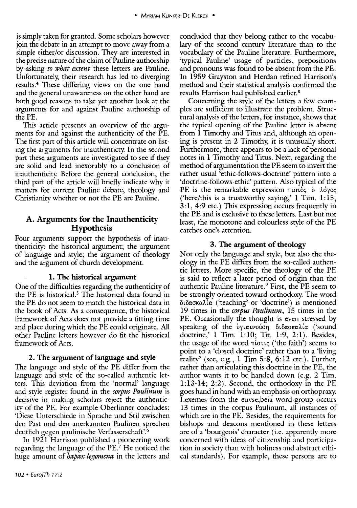is simply taken for granted. Some scholars however join the debate in an attempt to move away from a simple either/or discussion. They are interested in the precise nature of the claim of Pauline authorship by asking *to what extent* these letters are Pauline. Unfortunately, their research has led to diverging results.4 These differing views on the one hand and the general unawareness on the other hand are both good reasons to take yet another look at the arguments for and against Pauline authorship of the PE.

This article presents an overview of the arguments for and against the authenticity of the PE. The first part of this article will concentrate on listing the arguments for inauthenticty. In the second part these arguments are investigated to see if they are solid and lead inexorably to a conclusion of inauthenticity. Before the general conclusion, the third part of the article will briefly indicate why it matters for current Pauline debate, theology and Christianity whether or not the PE are Pauline.

## A. Arguments for the Inauthenticity Hypothesis

Four arguments support the hypothesis of inauthenticity: the historical argument; the argument of language and style; the argument of theology and the argument of church development.

#### 1. The historical argument

One of the difficulties regarding the authenticity of the PE is historical.<sup>5</sup> The historical data found in the PE do not seem to match the historical data in the book of Acts. As a consequence, the historical framework of Acts does not provide a fitting time and place during which the PE could originate. All other Pauline letters however do fit the historical framework of Acts.

#### 2. The argument of language and style

The language and style of the PE differ from the language and style of the so-called authentic letters. This deviation from the 'normal' language and style register found in the *corpus Paulinum* is decisive in making scholars reject the authenticity of the PE. For example Oberlinner concludes: 'Diese Unterschiede in Sprache und Stil zwischen den Past und den anerkannten Paulinen sprechen deutlich gegen paulinische Verfasserschaft'. <sup>6</sup>

In 1921 Harrison published a pioneering work regarding the language of the PE? He noticed the huge amount of *hapax legomena* in the letters and

concluded that they belong rather to the vocabulary of the second century literature than to the vocabulary of the Pauline literature. Furthermore, 'typical Pauline' usage of particles, prepositions and pronouns was found to be absent from the PE. In 1959 Grayston and Herdan refined Harrison's method and their statistical analysis confirmed the results Harrison had published earlier.8

Concerning the style of the letters a few examples are sufficient to illustrate the problem. Structural analysis of the letters, for instance, shows that the typical opening of the Pauline letter is absent from 1 Timothy and Titus and, although an opening is present in 2 Timothy, it is unusually short. Furthermore, there appears to be a lack of personal notes in 1 Timothy and Titus. Next, regarding the method of argumentation the PE seem to invert the rather usual 'ethic-follows-doctrine' pattern into a 'doctrine-follows-ethic' pattern. Also typical of the PE is the remarkable expression πιστός **δ** λόγος ('here/this is a trustworthy saying,' 1 Tim.  $1:15$ , 3: 1, 4:9 etc.) This expression occurs frequently in the PE and is exclusive to these letters. Last but not least, the monotone and colourless style of the PE catches one's attention.

#### 3. The argument of theology

Not only the language and style, but also the theology in the PE differs from the so-called authentic letters. More specific, the theology of the PE is said to reflect a later period of origin than the authentic Pauline literature. 9 First, the PE seem to be strongly oriented toward orthodoxy. The word  $\delta$ ιδασκαλία ('teaching' or 'doctrine') is mentioned 19 times in the *corpus Paulinum,* 15 times in the PE. Occasionally the thought is even stressed by speaking of the υγιαινούση διδασκαλία ('sound doctrine,' 1 Tim. 1:10; Tit. 1:9, 2:1). Besides, the usage of the word  $\pi$ iotic ('the faith') seems to point to a 'closed doctrine' rather than to a 'living reality' (see, e.g.,  $1$  Tim  $5:8$ ,  $6:12$  etc.). Further, rather than articulating this doctrine in the PE, the author wants it to be handed down (e.g. 2 Tim. 1:13-14; 2:2). Second, the orthodoxy in the PE goes hand in hand with an emphasis on orthopraxy. Lexemes from the euvse,beia word-group occurs 13 times in the corpus Paulinum, all instances of which are in the PE. Besides, the requirements for bishops and deacons mentioned in these letters are of a 'bourgeois' character (i.e. apparently more concerned with ideas of citizenship and participation in society than with holiness and abstract ethical standards'). For example, these persons are to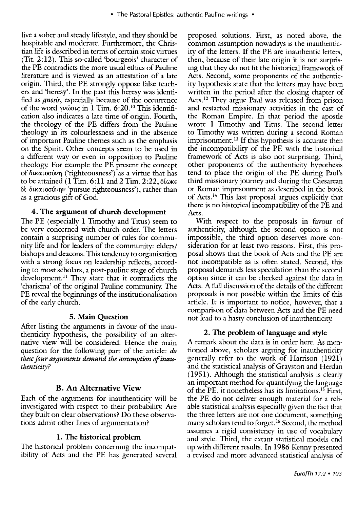live a sober and steady lifestyle, and they should be hospitable and moderate. Furthermore, the Christian life is described in terms of certain stoic virtues (Tit. 2: 12). This so-called 'bourgeois' character of the PE contradicts the more usual ethics of Pauline literature and is viewed as an attestation of a late origin. Third, the PE strongly oppose false teachers and 'heresy'. In the past this heresy was identified as *gnosis,* especially because of the occurrence of the word  $\gamma\nu\tilde{\omega}\sigma\varphi$  in 1 Tim. 6:20.<sup>10</sup> This identification also indicates a late time of origin. Fourth, the theology of the PE differs from the Pauline theology in its colourlessness and in the absence of important Pauline themes such as the emphasis on the Spirit. Other concepts seem to be used in a ditferent way or even in opposition to Pauline theology. For example the PE present the concept of δικαιοσύνη ('righteousness') as a virtue that has to be attained (1 Tim.  $6:11$  and 2 Tim. 2:22,  $\delta\omega\kappa\epsilon$ δε δικαιοσύνην 'pursue righteousness'), rather than as a gracious gift of God.

#### 4. The argument of church development

The PE (especially 1 Timothy and Titus) seem to be very concerned with church order. The letters contain a surprising number of rules for community life and for leaders of the community: elders/ bishops and deacons. This tendency to organisation with a strong focus on leadership reflects, according to most scholars, a post-pauline stage of church development.<sup>11</sup> They state that it contradicts the 'charisma' of the original Pauline community. The PE reveal the beginnings of the institutionalisation of the early church.

#### 5. Main Question

After listing the arguments in favour of the inauthenticity hypothesis, the possibility of an alternative view will be considered. Hence the main question for the following part of the article: *do these four arguments demand the assumption of inauthenticity?* 

## B. An Alternative View

Each of the arguments for inauthenticity will be investigated with respect to their probability. Are they built on clear observations? Do these observations admit other lines of argumentation?

## 1. The historical problem

The historical problem concerning the incompatibility of Acts and the PE has generated several

proposed solutions. First, as noted above, the common assumption nowadays is the inauthenticity of the letters. If the PE are inauthentic letters, then, because of their late origin it is not surprising that they do not fit the historical framework of Acts. Second, some proponents of the authenticity hypothesis state that the letters may have been written in the period after the closing chapter of Acts.<sup>12</sup> They argue Paul was released from prison and restarted missionary activities in the east of the Roman Empire. In that period the apostle wrote 1 Timothv and Titus. The second letter to Timothy was written during a second Roman imprisonment. 13 If this hypothesis is accurate then the incompatibility of the PE with the historical framework of Acts is also not surprising. Third, other proponents of the authenticity hypothesis tend to place the origin of the PE during Paul's third missionary journey and during the Caesarean or Roman imprisonment as described in the book of Acts. 14 This last proposal argues explicitly that there is no historical incompatibility of the PE and Acts.

With respect to the proposals in favour of authenticity, although the second option is not impossible, the third option deserves more consideration for at least two reasons. First, this proposal shows that the book of Acts and the PE are not incompatible as is often stated. Second, this proposal demands less speculation than the second option since it can be checked against the data in Acts. A full discussion of the details of the different proposals is not possible within the limits of this article. It is important to notice, however, that a comparison of data between Acts and the PE need not lead to a hasty conclusion of inauthenticity.

#### 2. The problem of language and style

A remark about the data is in order here. As mentioned above, scholars arguing for inauthenticity generally refer to the work of Harrison (1921) and the statistical analysis of Grayston and Herdan ( 1951). Although the statistical analysis is clearly an important method for quantifying the language of the PE, it nonetheless has its limitations.<sup>15</sup> First, the PE do not deliver enough material for a reliable statistical analysis especially given the fact that the three letters are not one document, something many scholars tend to forget. 16 Second, the method assumes a rigid consistency in use of vocabulary and style. Third, the extant statistical models end up with different results. In 1986 Kenny presented a revised and more advanced statistical analysis of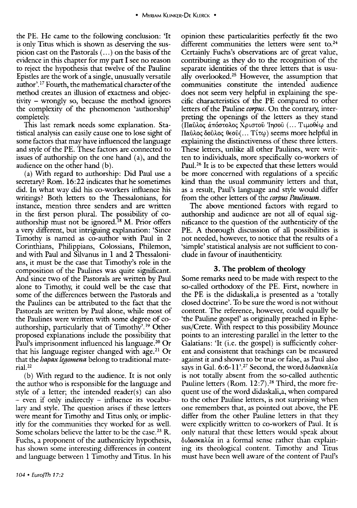the PE. He came to the following conclusion: 'It is only Titus which is shown as deserving the suspicion cast on the Pastorals ( ... ) on the basis of the evidence in this chapter for my part I see no reason to reject the hypothesis that twelve of the Pauline Epistles are the work of a single, unusually versatile author'. 17 Fourth, the mathematical character of the method creates an illusion of exactness and objectivity - wrongly so, because the method ignores the complexity of the phenomenon 'authorship' completely.

This last remark needs some explanation. Statistical analysis can easily cause one to lose sight of some factors that may have influenced the language and style of the PE. These factors are connected to issues of authorship on the one hand (a), and the audience on the other hand (b).

(a) With regard to authorship: Did Paul use a secretary? Rom. 16:22 indicates that he sometimes did. In what way did his co-workers influence his writings? Both letters to the Thessalonians, for instance, mention three senders and are written in the first person plural. The possibility of coauthorship must not be ignored.<sup>18</sup> M. Prior offers a very different, but intriguing explanation: 'Since Timothy is named as co-author with Paul in 2 Corinthians, Philippians, Colossians, Philemon, and with Paul and Silvanus in 1 and 2 Thessalonians, it must be the case that Timothy's role in the composition of the Paulines was quite significant. And since two of the Pastorals are written bv Paul alone to Timothy, it could well be the case that some of the differences between the Pastorals and the Paulines can be attributed to the fact that the Pastorals are written by Paul alone, while most of the Paulines were written with some degree of coauthorship, particularly that of Timothy'. 19 Other proposed explanations include the possibility that Paul's imprisonment influenced his language.<sup>20</sup> Or that his language register changed with age.<sup>21</sup> Or that the *hapax legomena* belong to traditional material. 22

(b) With regard to the audience. It is not only the author who is responsible for the language and style of a letter; the intended reader $(s)$  can also - even if only indirectly - influence its vocabulary and style. The question arises if these letters were meant for Timothy and Titus only, or implicitly for the communities they worked for as well. Some scholars believe the latter to be the case.<sup>23</sup> R. Fuchs, a proponent of the authenticity hypothesis, has shown some interesting differences in content and language between 1 Timothy and Titus. In his

opinion these particularities perfectly fit the two different communities the letters were sent to.<sup>24</sup> Certainly Fuchs's observations are of great value, contributing as they do to the recognition of the separate identities of the three letters that is usually overlooked.25 However, the assumption that communities constitute the intended audience does not seem very helpful in explaining the specific characteristics of the PE compared to other letters of the Pauline *corpus.* On the contrary, interpreting the openings of the letters as they stand (Παΰλος άπόστολος Χριστού Ίησού (... Τιμοθέω and Παῦλος δοῦλος θεοῦ(... Τίτω) seems more helpful in explaining the distinctiveness of these three letters. These letters, unlike all other Paulines, were written to individuals, more specifically co-workers of Paul.<sup>26</sup> It is to be expected that these letters would be more concerned with regulations of a specific kind than the usual community letters and that, as a result, Paul's language and style would differ from the other letters of the *corpus Paulinum.* 

The above mentioned factors with regard to authorship and audience are not all of equal significance to the question of the authenticity of the PE. A thorough discussion of all possibilities is not needed, however, to notice that the results of a 'simple' statistical analysis are not sufficient to conclude in favour of inauthenticity.

#### 3. The problem of theology

Some remarks need to be made with respect to the so-called orthodoxy of the PE. First, nowhere in the PE is the didaskali,a is presented as a 'totally closed doctrine'. To be sure the word is not without content. The reference, however, could equally be 'the Pauline gospel' as originally preached in Ephesus/Crete. With respect to this possibility Mounce points to an interesting parallel in the letter to the Galatians: 'It (i.e. the gospel) is sufficiently coherent and consistent that teachings can be measured against it and shown to be true or false, as Paul also says in Gal. 6:6-11'.<sup>27</sup> Second, the word διδασκαλία is not totally absent from the so-called authentic Pauline letters (Rom. 12:7).<sup>28</sup> Third, the more frequent use of the word didaskali,a, when compared to the other Pauline letters, is not surprising when one remembers that, as pointed out above, the PE differ from the other Pauline letters in that they were explicitly written to co-workers of Paul. It is only natural that these letters would speak about  $\delta$ ιδασκαλία in a formal sense rather than explaining its theological content. Timothy and Titus must have been well aware of the content of Paul's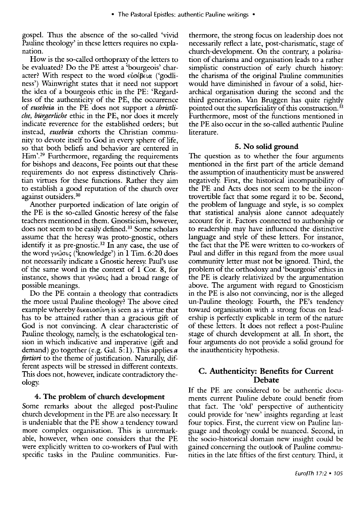gospel. Thus the absence of the so-called 'vivid Pauline theology' in these letters requires no explanation.

How is the so-called orthopraxy of the letters to be evaluated? Do the PE attest a 'bourgeois' character? With respect to the word  $\epsilon \omega \in \text{End}$  ('godliness') Wainwright states that it need not support the idea of a bourgeois ethic in the PE: 'Regardless of the authenticity of the PE, the occurrence of *ettsebeia* in the PE does not support a *christliche, biirgerliche* ethic in the PE, nor does it merely indicate reverence for the established orders; but instead, *eusebeia* exhorts the Christian community to devote itself to God in every sphere of life, so that both beliefs and behavior are centered in Him'.29 Furthermore, regarding the requirements for bishops and deacons, Fee points out that these requirements do not express distinctively Christian virtues for these functions. Rather they aim to establish a good reputation of the church over against outsiders. 30

Another purported indication of late origin of the PE is the so-called Gnostic heresy of the false teachers mentioned in them. Gnosticism, however, does not seem to be easily defined. 31 Some scholars assume that the heresy was proto-gnostic, others identify it as pre-gnostic. 32 In any case, the use of the word  $\gamma\nu\tilde{\omega}\sigma\varphi$  ('knowledge') in 1 Tim. 6:20 does not necessarily indicate a Gnostic heresy. Paul's use of the same word in the context of 1 Cor. 8, for instance, shows that  $\gamma\nu\omega\sigma\iota\varsigma$  had a broad range of possible meanings.

Do the PE contain a theology that contradicts the more usual Pauline theology? The above cited example whereby  $\delta$ ικαιοσύνη is seen as a virtue that has to be attained rather than a gracious gift of God is not convincing. A clear characteristic of Pauline theology, namely, is the eschatological tension in which indicative and imperative (gift and demand) go together (e.g. Gal. 5: 1). This applies *a fortiori* to the theme of justification. Naturally, different aspects will be stressed in different contexts. This does not, however, indicate contradictory theology.

#### 4. The problem of church development

Some remarks about the alleged post-Pauline church development in the PE are also necessary. It is undeniable that the PE show a tendency toward more complex organisation. This is unremarkable, however, when one considers that the PE were explicitly written to co-workers of Paul with specific tasks in the Pauline communities. Furthermore, the strong focus on leadership does not necessarily reflect a late, post-charismatic, stage of church-development. On the contrary, a polarisation of charisma and organisation leads to a rather simplistic construction of early church history: the charisma of the original Pauline communities would have diminished in favour of a solid, hierarchical organisation during the second and the third generation. Van Bruggen has quite rightly pointed out the superficiality of this construction.<sup>33</sup> Furthermore, most of the functions mentioned in the PE also occur in the so-called authentic Pauline literature.

#### 5. No solid ground

The question as to whether the four arguments mentioned in the first part of the article demand the assumption of in authenticity must be answered negatively. First, the historical incompatibility of the PE and Acts does not seem to be the incontrovertible fact that some regard it to be. Second, the problem of language and style, is so complex that statistical analysis alone cannot adequately account for it. Factors connected to authorship or to readership may have influenced the distinctive language and style of these letters. For instance, the fact that the PE were written to co-workers of Paul and differ in this regard from the more usual community letter must not be ignored. Third, the problem of the orthodoxy and 'bourgeois' ethics in the PE is clearly relativized by the argumentation above. The argument with regard to Gnosticism in the PE is also not convincing, nor is the alleged un-Pauline theology. Fourth, the PE's tendency toward organisation with a strong focus on leadership is perfectly explicable in term of the nature of these letters. It does not reflect a post-Pauline stage of church development at all. In short, the four arguments do not provide a solid ground for the inauthenticity hypothesis.

### C. Authenticity: Benefits for Current Debate

If the PE are considered to be authentic documents current Pauline debate could benefit from that fact. The 'old' perspective of authenticity could provide for 'new' insights regarding at least four topics. First, the current view on Pauline language and theology could be nuanced. Second, in the socio-historical domain new insight could be gained concerning the outlook of Pauline communities in the late fifties of the first century. Third, it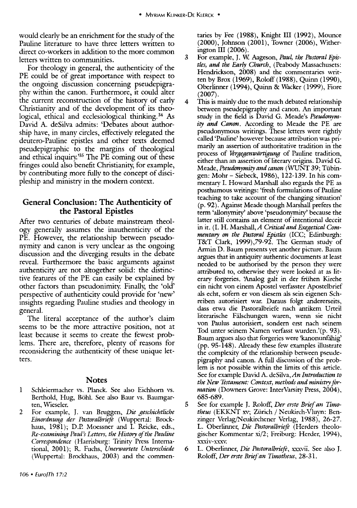would clearly be an enrichment for the study of the Pauline literature to have three letters written to direct co-workers in addition to the more common letters written to communities.

For theology in general, the authenticity of the PE could be of great importance with respect to the ongoing discussion concerning pseudepigraphy within the canon. Furthermore, it could alter the current reconstruction of the history of early Christianity and of the development of its theological, ethical and ecclesiological thinking.<sup>34</sup> As David A. deSilva admits: 'Debates about authorship have, in many circles, effectively relegated the deutero-Pauline epistles and other texts deemed pseudepigraphic to the margins of theological and ethical inquiry.<sup>35</sup> The PE coming out of these fringes could also benefit Christianity, for example, by contributing more fully to the concept of discipleship and ministry in the modern context.

# **General Conclusion: The Authenticity of the Pastoral Epistles**

After two centuries of debate mainstream theology generally assumes the inauthenticity of the PE. However, the relationship between pseudonymity and canon is very unclear as the ongoing discussion and the diverging results in the debate reveal. Furthermore the basic arguments against authenticity are not altogether solid: the distinctive features of the PE can easily be explained by other factors than pseudonimity. Finally, the 'old' perspective of authenticity could provide for 'new' insights regarding Pauline studies and theology in general.

The literal acceptance of the author's claim seems to be the more attractive position, not at least because it seems to create the fewest problems. There are, therefore, plenty of reasons for reconsidering the authenticity of these unique letters.

#### **Notes**

- 1 Sehleiermaeher vs. Planek. See also Eiehhorn vs. Berthold, Hug, Böhl. See also Baur vs. Baumgarten, Wieseler.
- 2 For example, J. van Bruggen, *Die geschichtliche Einordnung der Pastoralbrieft* (Wuppertal: Brockhaus, 1981); D.P. Moessner and I. Reicke, eds., *Re-examining Paul's Letters, the History of the Pauline Correspondence* (Harrisburg: Trinity Press International, 2001); R. Fuchs, Unerwartete Unterschiede (Wuppertal: Broekhaus, 2003) and the commen-

taries by Fee (1988), Knight III (1992), Mounee (2000), Johnson (2001), Towner (2006), Witherington III (2006).

- 3 For example, T- w. Aageson, *Paul, the Pastoral Epistles, and the Early Church,* (Peabody Massaehusets: Hendrickson, 2008) and the commentaries written by Brox (1969), Roloff (1988), Quinn (1990), Oberlinner (1994), Quinn & Wacker (1999), Fiore (2007).
- 4 This is mainly due to the much debated relationship between pseudepigraphy and canon. An important study in the field is David G. Meade's *Pseudonymity and Canon\_* According to Meade the PE are pseudonymous writings. These letters were rightly called 'Pauline' however because attribution was primarily an assertion of authoritative tradition in the process of *Vergegenwärtigung* of Pauline tradition, either than an assertion of literary origins. David G. Meade, *Pseudonymity and canon* (WUNT 39; Tübingen: Mohr - Siebeck, 1986), 122-139. In his commentary I. Howard Marshall also regards the PE as posthumous writings: 'fresh formulations of Pauline teaching to take account of the changing situation' (p. 92). Against Meade though Marshall prefers the term 'allonymity' above 'pseudonymity' because the latter still contains an element of intentional deceit in it. (I. H. Marshall, A Critical and Exegetical Com*mentary on the Pastoral Epistles* (ICC; Edinburgh: T&T Clark, 1999),79-92. The German study of Annin D. Baum presents yet another picture. Baum argues that in antiquity authentic documents at least needed to be authorised by the person they were attributed to, otherwise they were looked at as literary forgeries. Analog galt in der frühen Kirche ein nicht von einem Apostel verfasster Apostelbrief als echt, sofern er von diesem als sein eigenen Schreiben autorisiert war. Daraus folgt andererseits, dass etwa die Pastoralbriefe nach antikem Urteil literarische Eilschungen waren, wenn sie nicht von Paulus autorisiert, sondern erst nach seinem Tod unter seinem Namen verfasst wurden.'(p. 93). Baum argues also that forgeries were 'kanonunfahig' (pp. 95-148). Already these few examples illustrate the complexity of the relationship between pseudepigraphy and canon. A full discussion of the problem is not possible within the limits of this article. See for example David A. deSilva,An *Introduction to the New Testament: Context, methods and ministry jOrmation* (Downers Grove: InterVarsity Press, 2004), 685-689.
- 5 See for example J. Roloff, *Der erste Brief an Timotheus* (EKKNT xv; Zürich / Neukirch-Vluyn: Benzinger Verlag/Neukirchener Verlag, 1988), 26-27. L Oberlinner, *Die Pastoralbrieje* (Herders theologischer Kommentar *xi/2;* Freiburg: Herder, 1994), XXXIV-xxxv.
- 6 L Oberlinner, *Die Pastoralbrieje,* xxxvii. See also T. Roloff, *Der erste Briefan Timotheus, 28-31.*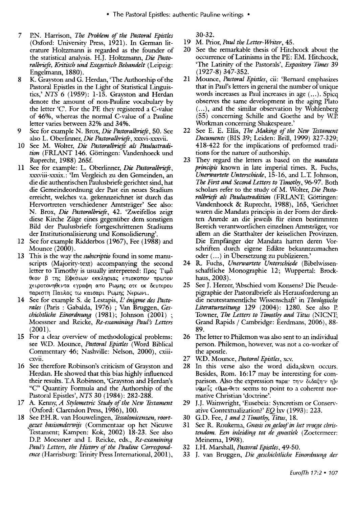- 7 P.N. Harrison, *The Problem of the Pastoral Epistles*  (Oxford: University Press, 1921). In German literature Holtzmann is regarded as the founder of the statistical analvsis. H.J. Holtzmann, *Die PastoralbrieJe, Kritisch und Exegetisch Behandelt* (Leipzig: Engelmann, 1880).
- 8 K. Grayston and G. Herdan, 'The Authorship of the Pastoral Epistles in the Light of Statistical Linguistics,' *NTS* 6 (1959): 1-15. Grayston and Herdan denote the amount of non-Pauline vocabularv bv the letter 'C'. For the PE they registered a C-value of 46%, whereas the normal C-value of a Pauline letter varies between 32% and 34%.
- 9 See for example N. Brox, *Die Pastoralbriefe*, 50. See also L. Oberlinner, *Die Pastoralbriefe*, xxxvi-xxxvii.
- 10 See M. Wolter, *Die Pastoralbriefe als Paulustradi*tion (FRLANT 146. Göttingen: Vandenhoeck und Ruprecht, 1988) 265f.
- 11 See for example: L. Oberlinner, *Die Pastoralbriefe*, xxxviii-xxxix.: 'Im Vergleich zu den Gemeinden, an die die authentischen Paulusbriefe gerichtet sind, hat die Gemeindeordnung der Past ein neues Stadium erreicht, welches v.a. gekennzeichnet ist durch das Hervortreten verschiedener Arntstrager' See also: N. Brox, *Die Pastoralbriefe*, 42. 'Zweifellos zeigt diese Kirche Ziige eines gegeniiber dem sonstigen Bild der Paulusbriefe fortgeschrittenen Stadiums der Institutionalisierung und Konsolidienmg'.
- 12 See for example Ridderbos (1967), Fee (1988) and Mounce (2000).
- 13 This is the way the *subscriptio* found in some manuscripts (Majority-text) accompanying the second letter to Timothy is usually interpreted:  $\Pi$ po $\varsigma$  Tu $\delta$ θεον β της Εφεσιων εκκλησιας επισκοπον πρωτον χειροτονηθεντα εγραφη απο Ρωμης οτε εκ δευτερου παρεστη Παυλος τω καισαρι Ρωμης Νερωνι.
- 14 See for example S. de Lestapis, L'énigme des Pasto*rales* (Paris: Gabalda, 1976) ; Van Bruggen, *Geschichtliche Einordnung* (1981); Johnson (2001) , Moessner and Reicke, *Rc-examining Paul's Letters*  (2001).
- 15 For a clear overview of methodological problems: see W.D. Mounce, *Pastoral Epistles* (Word Biblical Commentary 46; Nashville: Nelson, 2000), cxiii-CXVll.
- 16 See therefore Robinson's criticism of Gravston and Herdan. He showed that this bias highly influenced their results. T.A Robinson, 'Gravston and Herdan's "C" Quantity Formula and the' Authorship of the Pastoral Epistles', *NTS* 30 (1984): 282-288.
- 17 A. Kenny, *A Stywmetric Study of the New Testament*  (Oxford: Clarendon Press, 1986), 100.
- 18 See P.H.R. van Houwelingen, *Tessalonicenzen*, voortgezet basisonderwijs (Commentaar op het Nieuwe Testament; Kampen: Kok, 2002) 18-23. See also D.P. Moessner and I. Reicke, eds., *Re-examining Paul's Letters, the History of the Pauline Correspondence* (Harrisburg: Trinity Press International, 2001),

30-32.

- 19 M. Prior, *Paul the Letter-Writer, 45.*
- 20 See the remarkable thesis of Hitchcock about the occurrence of Latinisms in the PE: EM. Hitchcock, 'The Latinity of the Pastorals', *Expository Times 39*  (1927-8) 347-352.
- 21 Mounce, *Pastoral Epistles,* cii: 'Bernard emphasizes that in Paul's letters in general the number of unique words increases as Paul increases in age (...). Spicq observes the same development in the aging Plato ( ... ), and the similar observation by Wohlenberg (55) concerning Schille and Goethe and by w.P. Workman concerning Shakespeare.'
- 22 See E. E. Ellis, *The Making of the New Testament Documents* (BIS 39; Leiden: Brill, 1999) 327-329; 418-422 for the implications of preformed traditions for the nature of authorship.
- 23 They regard the letters as based on the *mandata principis* known in late imperial times. R. Fuchs, *Unerwartete Unterschiede,* 15-16, and L.T. Johnson, *The First and Second Letters to Timothy,* 96-97. Both scholars refer to the study of M. Wolter, *Die Pasto*ralbriefe als Paulustradition (FRLANT; Göttingen: Vandenhoeck & Ruprecht, 1988), 165, 'Gerichtet waren die Mandata principis in der Form der direkten Anrede an die jeweils fiir einen bestimmten Bereich verantwortlichen einzelnen Arntstrager, vor allem an die Statthalter der keiselichen Provinzen. Die Empfanger der Mandata hatten deren Vorschriften durch eigene Edikte bekanntzumachen oder ( ... ) in Ubersetzung zu publizieren.'
- 24 R. Fuchs, *Unerwartete Unterschiede* (Bibelwissenschaftliche Monographie 12; Wuppertal: Brockhaus, 2003).
- 25 See J. Herzer, 'Abschied vom Konsens? Die Pseudepigraphie der Pastoralbriefe als Herausforderung an die neutestamentliche Wissenschaft' in *Theologische Literaturzeitung* 129 (2004): 1280. See also P. Towner, *The Letters to Timothy and Titus* (NICNT; Grand Rapids / Cambridge: Eerdmans, 2006), 88- 89.
- 26 The letter to Philemon was also sent to an individual person. Philemon, however, was not a co-worker of the apostle.
- 27 W.D. Mounce, *Pastoral Epistles,* xcv.
- 28 In this verse also the word dida,skwn occurs. Besides, Rom. 16:17 may be interesting for comparison. Also the expression παρα· την διδαξην η]ν υ9μείς ε0μα-θετε seems to point to a coherent normative Christian 'doctrine'.
- 29 J.J. Wainwright, 'Eusebeia: Syncretism or Conservative Contextualization?' *EQ* lxv (1993): 223.
- 30 G.D. Fee, 1 *and* 2 *Timothy, Tints, 18.*
- 31 See R. Roukema, *Gnosis en geloof in het vroege chris*tendom. Een inleiding tot de gnostiek (Zoetermeer: Meinema, 1998).
- 32 I.H. MarshaU, *Pastoral Epistles, 49-50.*
- 33 1. van Bruggen, *Die geschichtliche Einordnung der*